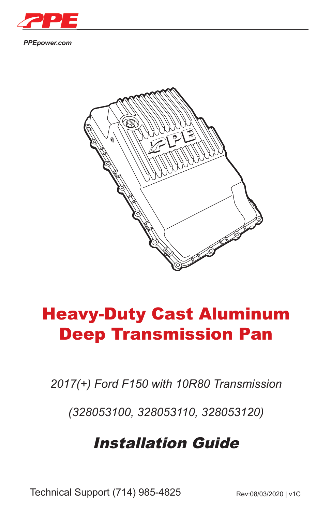

*PPEpower.com*



# Heavy-Duty Cast Aluminum Deep Transmission Pan

*2017(+) Ford F150 with 10R80 Transmission*

*(328053100, 328053110, 328053120)*

## Installation Guide

Technical Support (714) 985-4825 Rev:08/03/2020 | v1C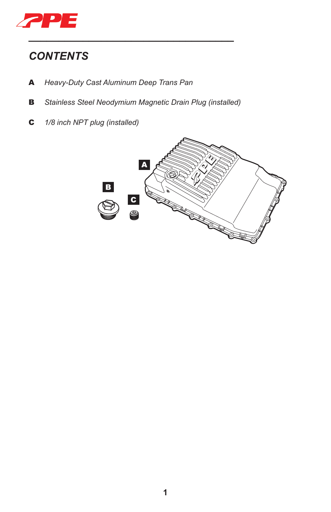

## *CONTENTS*

- A *Heavy-Duty Cast Aluminum Deep Trans Pan*
- B *Stainless Steel Neodymium Magnetic Drain Plug (installed)*

*\_\_\_\_\_\_\_\_\_\_\_\_\_\_\_\_\_\_\_\_\_\_\_\_\_\_\_\_\_\_\_\_\_\_*

C *1/8 inch NPT plug (installed)*

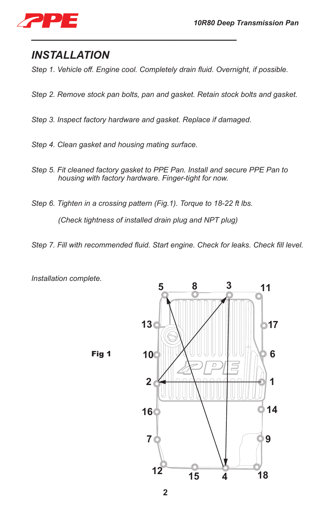

### *INSTALLATION*

*Step 1. Vehicle off. Engine cool. Completely drain fluid. Overnight, if possible.*

- *Step 2. Remove stock pan bolts, pan and gasket. Retain stock bolts and gasket.*
- *Step 3. Inspect factory hardware and gasket. Replace if damaged.*

*\_\_\_\_\_\_\_\_\_\_\_\_\_\_\_\_\_\_\_\_\_\_\_\_\_\_\_\_\_\_\_\_\_\_*

- *Step 4. Clean gasket and housing mating surface.*
- *Step 5. Fit cleaned factory gasket to PPE Pan. Install and secure PPE Pan to housing with factory hardware. Finger-tight for now.*
- *Step 6. Tighten in a crossing pattern (Fig.1). Torque to 18-22 ft lbs.*

*(Check tightness of installed drain plug and NPT plug)*

*Step 7. Fill with recommended fluid. Start engine. Check for leaks. Check fill level.*